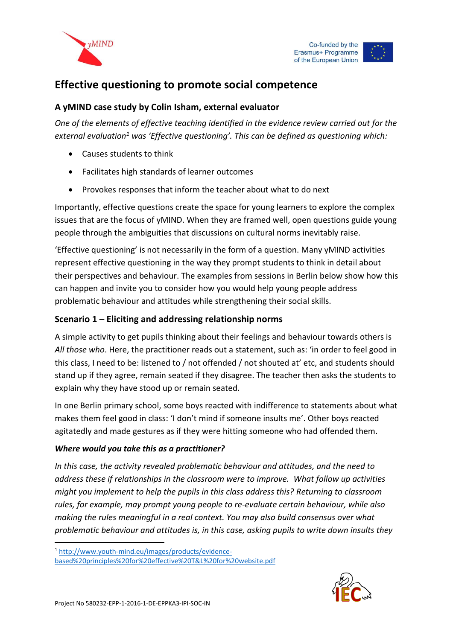



# **Effective questioning to promote social competence**

### **A yMIND case study by Colin Isham, external evaluator**

*One of the elements of effective teaching identified in the evidence review carried out for the external evaluation<sup>1</sup> was 'Effective questioning'. This can be defined as questioning which:*

- Causes students to think
- Facilitates high standards of learner outcomes
- Provokes responses that inform the teacher about what to do next

Importantly, effective questions create the space for young learners to explore the complex issues that are the focus of yMIND. When they are framed well, open questions guide young people through the ambiguities that discussions on cultural norms inevitably raise.

'Effective questioning' is not necessarily in the form of a question. Many yMIND activities represent effective questioning in the way they prompt students to think in detail about their perspectives and behaviour. The examples from sessions in Berlin below show how this can happen and invite you to consider how you would help young people address problematic behaviour and attitudes while strengthening their social skills.

### **Scenario 1 – Eliciting and addressing relationship norms**

A simple activity to get pupils thinking about their feelings and behaviour towards others is *All those who*. Here, the practitioner reads out a statement, such as: 'in order to feel good in this class, I need to be: listened to / not offended / not shouted at' etc, and students should stand up if they agree, remain seated if they disagree. The teacher then asks the students to explain why they have stood up or remain seated.

In one Berlin primary school, some boys reacted with indifference to statements about what makes them feel good in class: 'I don't mind if someone insults me'. Other boys reacted agitatedly and made gestures as if they were hitting someone who had offended them.

### *Where would you take this as a practitioner?*

*In this case, the activity revealed problematic behaviour and attitudes, and the need to address these if relationships in the classroom were to improve. What follow up activities might you implement to help the pupils in this class address this? Returning to classroom rules, for example, may prompt young people to re-evaluate certain behaviour, while also making the rules meaningful in a real context. You may also build consensus over what problematic behaviour and attitudes is, in this case, asking pupils to write down insults they* 



-

<sup>1</sup> [http://www.youth-mind.eu/images/products/evidence-](http://www.youth-mind.eu/images/products/evidence-based%20principles%20for%20effective%20T&L%20for%20website.pdf)

[based%20principles%20for%20effective%20T&L%20for%20website.pdf](http://www.youth-mind.eu/images/products/evidence-based%20principles%20for%20effective%20T&L%20for%20website.pdf)